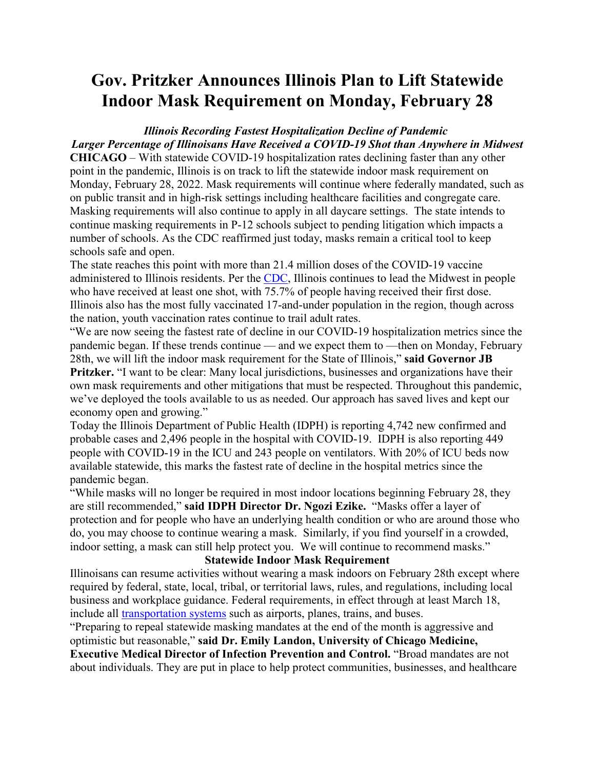# **Gov. Pritzker Announces Illinois Plan to Lift Statewide Indoor Mask Requirement on Monday, February 28**

## *Illinois Recording Fastest Hospitalization Decline of Pandemic Larger Percentage of Illinoisans Have Received a COVID-19 Shot than Anywhere in Midwest*

**CHICAGO** – With statewide COVID-19 hospitalization rates declining faster than any other point in the pandemic, Illinois is on track to lift the statewide indoor mask requirement on Monday, February 28, 2022. Mask requirements will continue where federally mandated, such as on public transit and in high-risk settings including healthcare facilities and congregate care. Masking requirements will also continue to apply in all daycare settings. The state intends to continue masking requirements in P-12 schools subject to pending litigation which impacts a number of schools. As the CDC reaffirmed just today, masks remain a critical tool to keep schools safe and open.

The state reaches this point with more than 21.4 million doses of the COVID-19 vaccine administered to Illinois residents. Per the [CDC,](https://covid.cdc.gov/covid-data-tracker/#vaccinations_vacc-total-admin-rate-total) Illinois continues to lead the Midwest in people who have received at least one shot, with 75.7% of people having received their first dose. Illinois also has the most fully vaccinated 17-and-under population in the region, though across the nation, youth vaccination rates continue to trail adult rates.

"We are now seeing the fastest rate of decline in our COVID-19 hospitalization metrics since the pandemic began. If these trends continue — and we expect them to —then on Monday, February 28th, we will lift the indoor mask requirement for the State of Illinois," **said Governor JB** 

**Pritzker.** "I want to be clear: Many local jurisdictions, businesses and organizations have their own mask requirements and other mitigations that must be respected. Throughout this pandemic, we've deployed the tools available to us as needed. Our approach has saved lives and kept our economy open and growing."

Today the Illinois Department of Public Health (IDPH) is reporting 4,742 new confirmed and probable cases and 2,496 people in the hospital with COVID-19. IDPH is also reporting 449 people with COVID-19 in the ICU and 243 people on ventilators. With 20% of ICU beds now available statewide, this marks the fastest rate of decline in the hospital metrics since the pandemic began.

"While masks will no longer be required in most indoor locations beginning February 28, they are still recommended," **said IDPH Director Dr. Ngozi Ezike.** "Masks offer a layer of protection and for people who have an underlying health condition or who are around those who do, you may choose to continue wearing a mask. Similarly, if you find yourself in a crowded, indoor setting, a mask can still help protect you. We will continue to recommend masks."

#### **Statewide Indoor Mask Requirement**

Illinoisans can resume activities without wearing a mask indoors on February 28th except where required by federal, state, local, tribal, or territorial laws, rules, and regulations, including local business and workplace guidance. Federal requirements, in effect through at least March 18, include all [transportation systems](https://www.transit.dot.gov/TransitMaskUp) such as airports, planes, trains, and buses.

"Preparing to repeal statewide masking mandates at the end of the month is aggressive and optimistic but reasonable," **said Dr. Emily Landon, University of Chicago Medicine, Executive Medical Director of Infection Prevention and Control.** "Broad mandates are not about individuals. They are put in place to help protect communities, businesses, and healthcare